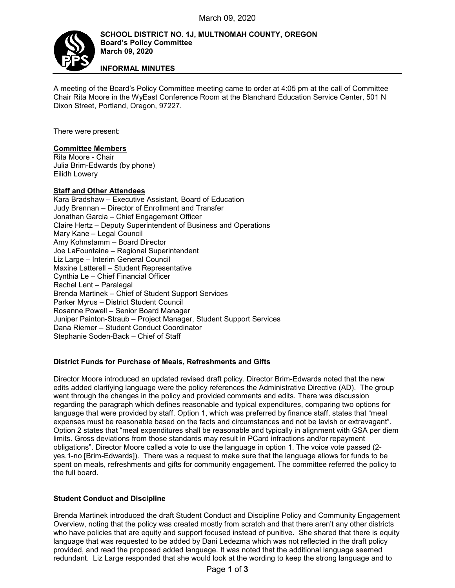

**INFORMAL MINUTES**

A meeting of the Board's Policy Committee meeting came to order at 4:05 pm at the call of Committee Chair Rita Moore in the WyEast Conference Room at the Blanchard Education Service Center, 501 N Dixon Street, Portland, Oregon, 97227.

There were present:

## **Committee Members**

Rita Moore - Chair Julia Brim-Edwards (by phone) Eilidh Lowery

## **Staff and Other Attendees**

Kara Bradshaw – Executive Assistant, Board of Education Judy Brennan – Director of Enrollment and Transfer Jonathan Garcia – Chief Engagement Officer Claire Hertz – Deputy Superintendent of Business and Operations Mary Kane – Legal Council Amy Kohnstamm – Board Director Joe LaFountaine – Regional Superintendent Liz Large – Interim General Council Maxine Latterell – Student Representative Cynthia Le – Chief Financial Officer Rachel Lent – Paralegal Brenda Martinek – Chief of Student Support Services Parker Myrus – District Student Council Rosanne Powell – Senior Board Manager Juniper Painton-Straub – Project Manager, Student Support Services Dana Riemer – Student Conduct Coordinator Stephanie Soden-Back – Chief of Staff

## **District Funds for Purchase of Meals, Refreshments and Gifts**

Director Moore introduced an updated revised draft policy. Director Brim-Edwards noted that the new edits added clarifying language were the policy references the Administrative Directive (AD). The group went through the changes in the policy and provided comments and edits. There was discussion regarding the paragraph which defines reasonable and typical expenditures, comparing two options for language that were provided by staff. Option 1, which was preferred by finance staff, states that "meal expenses must be reasonable based on the facts and circumstances and not be lavish or extravagant". Option 2 states that "meal expenditures shall be reasonable and typically in alignment with GSA per diem limits. Gross deviations from those standards may result in PCard infractions and/or repayment obligations". Director Moore called a vote to use the language in option 1. The voice vote passed (2 yes,1-no [Brim-Edwards]). There was a request to make sure that the language allows for funds to be spent on meals, refreshments and gifts for community engagement. The committee referred the policy to the full board.

## **Student Conduct and Discipline**

Brenda Martinek introduced the draft Student Conduct and Discipline Policy and Community Engagement Overview, noting that the policy was created mostly from scratch and that there aren't any other districts who have policies that are equity and support focused instead of punitive. She shared that there is equity language that was requested to be added by Dani Ledezma which was not reflected in the draft policy provided, and read the proposed added language. It was noted that the additional language seemed redundant. Liz Large responded that she would look at the wording to keep the strong language and to